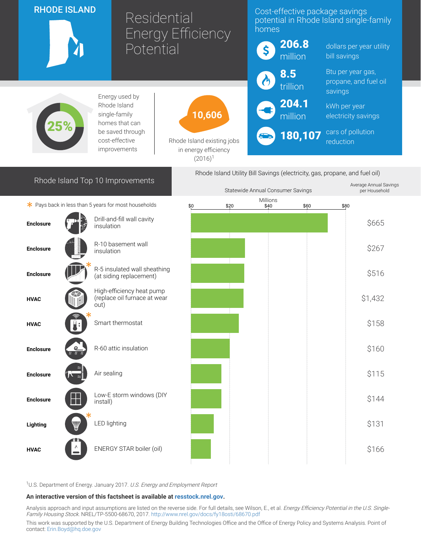| <b>RHODE ISLAND</b>                                                         |   |                                                                   | Residential<br><b>Energy Efficiency</b>                          |      | Cost-effective package savings<br>potential in Rhode Island single-family<br>homes |                  |                                         |                                            |
|-----------------------------------------------------------------------------|---|-------------------------------------------------------------------|------------------------------------------------------------------|------|------------------------------------------------------------------------------------|------------------|-----------------------------------------|--------------------------------------------|
|                                                                             |   |                                                                   | Potential                                                        |      | \$                                                                                 | 206.8<br>million | bill savings                            | dollars per year utility                   |
|                                                                             |   | Energy used by                                                    |                                                                  |      |                                                                                    | 8.5<br>trillion  | savings                                 | Btu per year gas,<br>propane, and fuel oil |
| Rhode Island<br>single-family<br>homes that can                             |   |                                                                   | 10,606                                                           |      |                                                                                    | 204.1<br>million | kWh per year                            | electricity savings                        |
|                                                                             |   | be saved through<br>cost-effective<br>improvements                | Rhode Island existing jobs<br>in energy efficiency<br>$(2016)^1$ |      | 180,107                                                                            |                  | cars of pollution<br>reduction          |                                            |
| Rhode Island Utility Bill Savings (electricity, gas, propane, and fuel oil) |   |                                                                   |                                                                  |      |                                                                                    |                  |                                         |                                            |
| Rhode Island Top 10 Improvements<br>Statewide Annual Consumer Savings       |   |                                                                   |                                                                  |      |                                                                                    |                  | Average Annual Savings<br>per Household |                                            |
| $*$ Pays back in less than 5 years for most households                      |   |                                                                   | \$0                                                              | \$20 | Millions<br>\$40                                                                   | \$60             |                                         | \$80                                       |
| <b>Enclosure</b>                                                            |   | Drill-and-fill wall cavity<br>insulation                          |                                                                  |      |                                                                                    |                  |                                         | \$665                                      |
| <b>Enclosure</b>                                                            |   | R-10 basement wall<br>insulation                                  |                                                                  |      |                                                                                    |                  |                                         | \$267                                      |
| <b>Enclosure</b>                                                            |   | R-5 insulated wall sheathing<br>(at siding replacement)           |                                                                  |      |                                                                                    |                  |                                         | \$516                                      |
| <b>HVAC</b>                                                                 |   | High-efficiency heat pump<br>(replace oil furnace at wear<br>out) |                                                                  |      |                                                                                    |                  |                                         | \$1,432                                    |
| <b>HVAC</b>                                                                 |   | Smart thermostat                                                  |                                                                  |      |                                                                                    |                  |                                         | \$158                                      |
| <b>Enclosure</b>                                                            | Q | R-60 attic insulation                                             |                                                                  |      |                                                                                    |                  |                                         | \$160                                      |
| <b>Enclosure</b>                                                            |   | Air sealing                                                       |                                                                  |      |                                                                                    |                  |                                         | \$115                                      |
| <b>Enclosure</b>                                                            |   | Low-E storm windows (DIY<br>install)                              |                                                                  |      |                                                                                    |                  |                                         | \$144                                      |
| Lighting                                                                    |   | LED lighting                                                      |                                                                  |      |                                                                                    |                  |                                         | \$131                                      |
| <b>HVAC</b>                                                                 |   | ENERGY STAR boiler (oil)                                          |                                                                  |      |                                                                                    |                  |                                         | \$166                                      |

<sup>1</sup>U.S. Department of Energy. January 2017. U.S. Energy and Employment Report

## An interactive version of this factsheet is available at [resstock.nrel.gov.](https://resstock.nrel.gov/)

Analysis approach and input assumptions are listed on the reverse side. For full details, see Wilson, E., et al. *Energy Efficiency Potential in the U.S. Single*-Family Housing Stock. NREL/TP-5500-68670, 2017. <http://www.nrel.gov/docs/fy18osti/68670.pdf>

This work was supported by the U.S. Department of Energy Building Technologies Office and the Office of Energy Policy and Systems Analysis. Point of contact: [Erin.Boyd@hq.doe.gov](mailto:Erin.Boyd@hq.doe.gov)